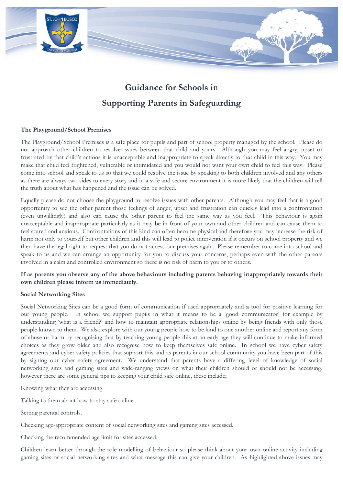

# Guidance for Schools in **Supporting Parents in Safeguarding**

## The Playground/School Premises

The Playground/School Premises is a safe place for pupils and part of school property managed by the school. Please do not approach other children to resolve issues between that child and yours. Although you may feel angry, upset or frustrated by that child's actions it is unacceptable and inappropriate to speak directly to that child in this way. You may make that child feel frightened, vulnerable or intimidated and you would not want your own child to feel this way. Please come into school and speak to us so that we could resolve the issue by speaking to both children involved and any others as there are always two sides to every story and in a safe and secure environment it is more likely that the children will tell the truth about what has happened and the issue can be solved.

Equally please do not choose the playground to resolve issues with other parents. Although you may feel that is a good opportunity to see the other parent those feelings of anger, upset and frustration can quickly lead into a confrontation (even unwillingly) and also can cause the other parent to feel the same way as you feel. This behaviour is again unacceptable and inappropriate particularly as it may be in front of your own and other children and can cause them to feel scared and anxious. Confrontations of this kind can often become physical and therefore you may increase the risk of harm not only to yourself but other children and this will lead to police intervention if it occurs on school property and we then have the legal right to request that you do not access our premises again. Please remember to come into school and speak to us and we can arrange an opportunity for you to discuss your concerns, perhaps even with the other parents involved in a calm and controlled environment so there is no risk of harm to you or to others.

## If as parents you observe any of the above behaviours including parents behaving inappropriately towards their own children please inform us immediately.

### **Social Networking Sites**

Social Networking Sites can be a good form of communication if used appropriately and a tool for positive learning for our young people. In school we support pupils in what it means to be a 'good communicator' for example by understanding 'what is a friend?' and how to maintain appropriate relationships online by being friends with only those people known to them. We also explore with our young people how to be kind to one another online and report any form of abuse or harm by recognising that by teaching young people this at an early age they will continue to make informed choices as they grow older and also recognise how to keep themselves safe online. In school we have cyber safety agreements and cyber safety policies that support this and as parents in our school community you have been part of this by signing our cyber safety agreement. We understand that parents have a differing level of knowledge of social networking sites and gaming sites and wide-ranging views on what their children should or should not be accessing, however there are some general tips to keeping your child safe online, these include;

Knowing what they are accessing.

Talking to them about how to stay safe online.

Setting parental controls.

Checking age-appropriate content of social networking sites and gaming sites accessed.

Checking the recommended age limit for sites accessed.

Children learn better through the role modelling of behaviour so please think about your own online activity including gaming sites or social networking sites and what message this can give your children. As highlighted above issues may